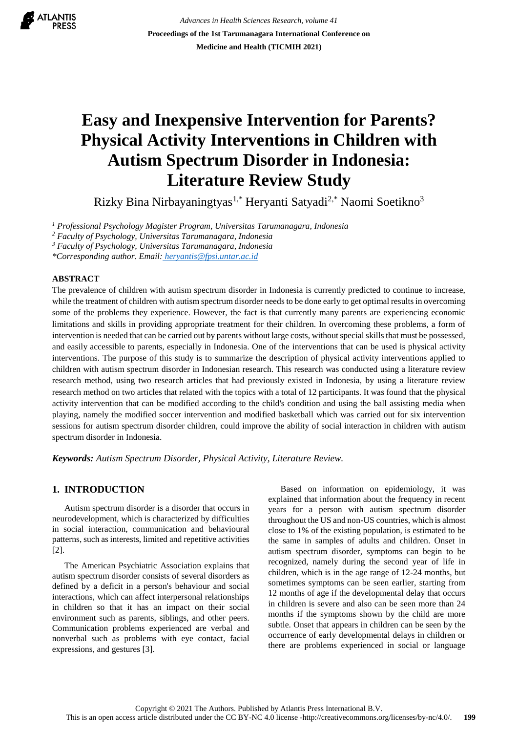**ATLANTIS** 

*Advances in Health Sciences Research, volume 41* **Proceedings of the 1st Tarumanagara International Conference on Medicine and Health (TICMIH 2021)**

# **Easy and Inexpensive Intervention for Parents? Physical Activity Interventions in Children with Autism Spectrum Disorder in Indonesia: Literature Review Study**

Rizky Bina Nirbayaningtyas1,\* Heryanti Satyadi2,\* Naomi Soetikno<sup>3</sup>

*<sup>1</sup> Professional Psychology Magister Program, Universitas Tarumanagara, Indonesia*

*<sup>2</sup> Faculty of Psychology, Universitas Tarumanagara, Indonesia*

*<sup>3</sup> Faculty of Psychology, Universitas Tarumanagara, Indonesia*

*\*Corresponding author. Email: [heryantis@fpsi.untar.ac.id](mailto:heryantis@fpsi.untar.ac.id)*

#### **ABSTRACT**

The prevalence of children with autism spectrum disorder in Indonesia is currently predicted to continue to increase, while the treatment of children with autism spectrum disorder needs to be done early to get optimal results in overcoming some of the problems they experience. However, the fact is that currently many parents are experiencing economic limitations and skills in providing appropriate treatment for their children. In overcoming these problems, a form of intervention is needed that can be carried out by parents without large costs, without special skills that must be possessed, and easily accessible to parents, especially in Indonesia. One of the interventions that can be used is physical activity interventions. The purpose of this study is to summarize the description of physical activity interventions applied to children with autism spectrum disorder in Indonesian research. This research was conducted using a literature review research method, using two research articles that had previously existed in Indonesia, by using a literature review research method on two articles that related with the topics with a total of 12 participants. It was found that the physical activity intervention that can be modified according to the child's condition and using the ball assisting media when playing, namely the modified soccer intervention and modified basketball which was carried out for six intervention sessions for autism spectrum disorder children, could improve the ability of social interaction in children with autism spectrum disorder in Indonesia.

*Keywords: Autism Spectrum Disorder, Physical Activity, Literature Review.*

## **1. INTRODUCTION**

Autism spectrum disorder is a disorder that occurs in neurodevelopment, which is characterized by difficulties in social interaction, communication and behavioural patterns, such as interests, limited and repetitive activities [2].

The American Psychiatric Association explains that autism spectrum disorder consists of several disorders as defined by a deficit in a person's behaviour and social interactions, which can affect interpersonal relationships in children so that it has an impact on their social environment such as parents, siblings, and other peers. Communication problems experienced are verbal and nonverbal such as problems with eye contact, facial expressions, and gestures [3].

Based on information on epidemiology, it was explained that information about the frequency in recent years for a person with autism spectrum disorder throughout the US and non-US countries, which is almost close to 1% of the existing population, is estimated to be the same in samples of adults and children. Onset in autism spectrum disorder, symptoms can begin to be recognized, namely during the second year of life in children, which is in the age range of 12-24 months, but sometimes symptoms can be seen earlier, starting from 12 months of age if the developmental delay that occurs in children is severe and also can be seen more than 24 months if the symptoms shown by the child are more subtle. Onset that appears in children can be seen by the occurrence of early developmental delays in children or there are problems experienced in social or language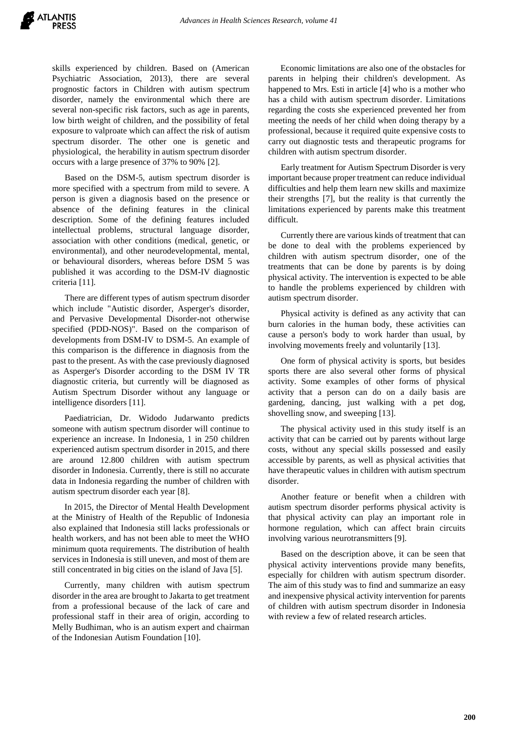skills experienced by children. Based on (American Psychiatric Association, 2013), there are several prognostic factors in Children with autism spectrum disorder, namely the environmental which there are several non-specific risk factors, such as age in parents, low birth weight of children, and the possibility of fetal exposure to valproate which can affect the risk of autism spectrum disorder. The other one is genetic and physiological, the herability in autism spectrum disorder occurs with a large presence of 37% to 90% [2].

Based on the DSM-5, autism spectrum disorder is more specified with a spectrum from mild to severe. A person is given a diagnosis based on the presence or absence of the defining features in the clinical description. Some of the defining features included intellectual problems, structural language disorder, association with other conditions (medical, genetic, or environmental), and other neurodevelopmental, mental, or behavioural disorders, whereas before DSM 5 was published it was according to the DSM-IV diagnostic criteria [11].

There are different types of autism spectrum disorder which include "Autistic disorder, Asperger's disorder, and Pervasive Developmental Disorder-not otherwise specified (PDD-NOS)". Based on the comparison of developments from DSM-IV to DSM-5. An example of this comparison is the difference in diagnosis from the past to the present. As with the case previously diagnosed as Asperger's Disorder according to the DSM IV TR diagnostic criteria, but currently will be diagnosed as Autism Spectrum Disorder without any language or intelligence disorders [11].

Paediatrician, Dr. Widodo Judarwanto predicts someone with autism spectrum disorder will continue to experience an increase. In Indonesia, 1 in 250 children experienced autism spectrum disorder in 2015, and there are around 12.800 children with autism spectrum disorder in Indonesia. Currently, there is still no accurate data in Indonesia regarding the number of children with autism spectrum disorder each year [8].

In 2015, the Director of Mental Health Development at the Ministry of Health of the Republic of Indonesia also explained that Indonesia still lacks professionals or health workers, and has not been able to meet the WHO minimum quota requirements. The distribution of health services in Indonesia is still uneven, and most of them are still concentrated in big cities on the island of Java [5].

Currently, many children with autism spectrum disorder in the area are brought to Jakarta to get treatment from a professional because of the lack of care and professional staff in their area of origin, according to Melly Budhiman, who is an autism expert and chairman of the Indonesian Autism Foundation [10].

Economic limitations are also one of the obstacles for parents in helping their children's development. As happened to Mrs. Esti in article [4] who is a mother who has a child with autism spectrum disorder. Limitations regarding the costs she experienced prevented her from meeting the needs of her child when doing therapy by a professional, because it required quite expensive costs to carry out diagnostic tests and therapeutic programs for children with autism spectrum disorder.

Early treatment for Autism Spectrum Disorder is very important because proper treatment can reduce individual difficulties and help them learn new skills and maximize their strengths [7], but the reality is that currently the limitations experienced by parents make this treatment difficult.

Currently there are various kinds of treatment that can be done to deal with the problems experienced by children with autism spectrum disorder, one of the treatments that can be done by parents is by doing physical activity. The intervention is expected to be able to handle the problems experienced by children with autism spectrum disorder.

Physical activity is defined as any activity that can burn calories in the human body, these activities can cause a person's body to work harder than usual, by involving movements freely and voluntarily [13].

One form of physical activity is sports, but besides sports there are also several other forms of physical activity. Some examples of other forms of physical activity that a person can do on a daily basis are gardening, dancing, just walking with a pet dog, shovelling snow, and sweeping [13].

The physical activity used in this study itself is an activity that can be carried out by parents without large costs, without any special skills possessed and easily accessible by parents, as well as physical activities that have therapeutic values in children with autism spectrum disorder.

Another feature or benefit when a children with autism spectrum disorder performs physical activity is that physical activity can play an important role in hormone regulation, which can affect brain circuits involving various neurotransmitters [9].

Based on the description above, it can be seen that physical activity interventions provide many benefits, especially for children with autism spectrum disorder. The aim of this study was to find and summarize an easy and inexpensive physical activity intervention for parents of children with autism spectrum disorder in Indonesia with review a few of related research articles.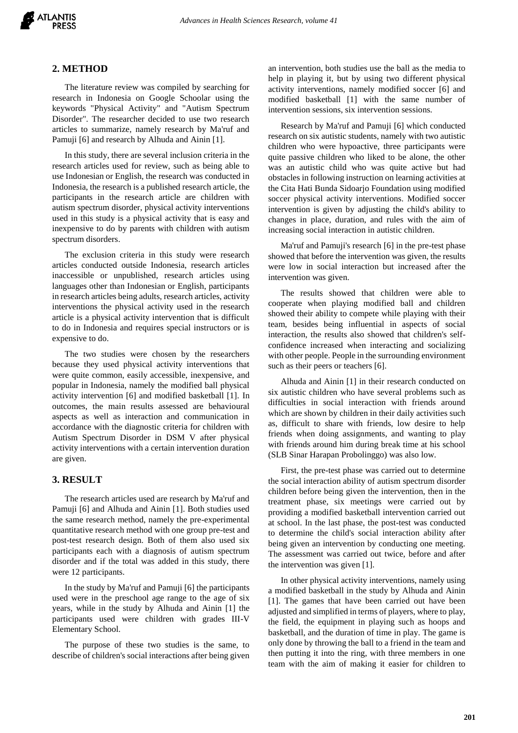

#### **2. METHOD**

The literature review was compiled by searching for research in Indonesia on Google Schoolar using the keywords "Physical Activity" and "Autism Spectrum Disorder". The researcher decided to use two research articles to summarize, namely research by Ma'ruf and Pamuji [6] and research by Alhuda and Ainin [1].

In this study, there are several inclusion criteria in the research articles used for review, such as being able to use Indonesian or English, the research was conducted in Indonesia, the research is a published research article, the participants in the research article are children with autism spectrum disorder, physical activity interventions used in this study is a physical activity that is easy and inexpensive to do by parents with children with autism spectrum disorders.

The exclusion criteria in this study were research articles conducted outside Indonesia, research articles inaccessible or unpublished, research articles using languages other than Indonesian or English, participants in research articles being adults, research articles, activity interventions the physical activity used in the research article is a physical activity intervention that is difficult to do in Indonesia and requires special instructors or is expensive to do.

The two studies were chosen by the researchers because they used physical activity interventions that were quite common, easily accessible, inexpensive, and popular in Indonesia, namely the modified ball physical activity intervention [6] and modified basketball [1]. In outcomes, the main results assessed are behavioural aspects as well as interaction and communication in accordance with the diagnostic criteria for children with Autism Spectrum Disorder in DSM V after physical activity interventions with a certain intervention duration are given.

#### **3. RESULT**

The research articles used are research by Ma'ruf and Pamuji [6] and Alhuda and Ainin [1]. Both studies used the same research method, namely the pre-experimental quantitative research method with one group pre-test and post-test research design. Both of them also used six participants each with a diagnosis of autism spectrum disorder and if the total was added in this study, there were 12 participants.

In the study by Ma'ruf and Pamuji [6] the participants used were in the preschool age range to the age of six years, while in the study by Alhuda and Ainin [1] the participants used were children with grades III-V Elementary School.

The purpose of these two studies is the same, to describe of children's social interactions after being given an intervention, both studies use the ball as the media to help in playing it, but by using two different physical activity interventions, namely modified soccer [6] and modified basketball [1] with the same number of intervention sessions, six intervention sessions.

Research by Ma'ruf and Pamuji [6] which conducted research on six autistic students, namely with two autistic children who were hypoactive, three participants were quite passive children who liked to be alone, the other was an autistic child who was quite active but had obstacles in following instruction on learning activities at the Cita Hati Bunda Sidoarjo Foundation using modified soccer physical activity interventions. Modified soccer intervention is given by adjusting the child's ability to changes in place, duration, and rules with the aim of increasing social interaction in autistic children.

Ma'ruf and Pamuji's research [6] in the pre-test phase showed that before the intervention was given, the results were low in social interaction but increased after the intervention was given.

The results showed that children were able to cooperate when playing modified ball and children showed their ability to compete while playing with their team, besides being influential in aspects of social interaction, the results also showed that children's selfconfidence increased when interacting and socializing with other people. People in the surrounding environment such as their peers or teachers [6].

Alhuda and Ainin [1] in their research conducted on six autistic children who have several problems such as difficulties in social interaction with friends around which are shown by children in their daily activities such as, difficult to share with friends, low desire to help friends when doing assignments, and wanting to play with friends around him during break time at his school (SLB Sinar Harapan Probolinggo) was also low.

First, the pre-test phase was carried out to determine the social interaction ability of autism spectrum disorder children before being given the intervention, then in the treatment phase, six meetings were carried out by providing a modified basketball intervention carried out at school. In the last phase, the post-test was conducted to determine the child's social interaction ability after being given an intervention by conducting one meeting. The assessment was carried out twice, before and after the intervention was given [1].

In other physical activity interventions, namely using a modified basketball in the study by Alhuda and Ainin [1]. The games that have been carried out have been adjusted and simplified in terms of players, where to play, the field, the equipment in playing such as hoops and basketball, and the duration of time in play. The game is only done by throwing the ball to a friend in the team and then putting it into the ring, with three members in one team with the aim of making it easier for children to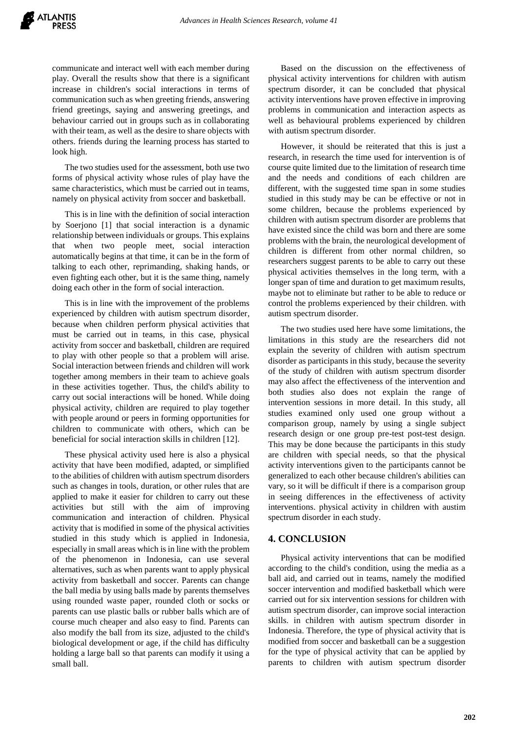communicate and interact well with each member during play. Overall the results show that there is a significant increase in children's social interactions in terms of communication such as when greeting friends, answering friend greetings, saying and answering greetings, and behaviour carried out in groups such as in collaborating with their team, as well as the desire to share objects with others. friends during the learning process has started to look high.

The two studies used for the assessment, both use two forms of physical activity whose rules of play have the same characteristics, which must be carried out in teams, namely on physical activity from soccer and basketball.

This is in line with the definition of social interaction by Soerjono [1] that social interaction is a dynamic relationship between individuals or groups. This explains that when two people meet, social interaction automatically begins at that time, it can be in the form of talking to each other, reprimanding, shaking hands, or even fighting each other, but it is the same thing, namely doing each other in the form of social interaction.

This is in line with the improvement of the problems experienced by children with autism spectrum disorder, because when children perform physical activities that must be carried out in teams, in this case, physical activity from soccer and basketball, children are required to play with other people so that a problem will arise. Social interaction between friends and children will work together among members in their team to achieve goals in these activities together. Thus, the child's ability to carry out social interactions will be honed. While doing physical activity, children are required to play together with people around or peers in forming opportunities for children to communicate with others, which can be beneficial for social interaction skills in children [12].

These physical activity used here is also a physical activity that have been modified, adapted, or simplified to the abilities of children with autism spectrum disorders such as changes in tools, duration, or other rules that are applied to make it easier for children to carry out these activities but still with the aim of improving communication and interaction of children. Physical activity that is modified in some of the physical activities studied in this study which is applied in Indonesia, especially in small areas which is in line with the problem of the phenomenon in Indonesia, can use several alternatives, such as when parents want to apply physical activity from basketball and soccer. Parents can change the ball media by using balls made by parents themselves using rounded waste paper, rounded cloth or socks or parents can use plastic balls or rubber balls which are of course much cheaper and also easy to find. Parents can also modify the ball from its size, adjusted to the child's biological development or age, if the child has difficulty holding a large ball so that parents can modify it using a small ball.

Based on the discussion on the effectiveness of physical activity interventions for children with autism spectrum disorder, it can be concluded that physical activity interventions have proven effective in improving problems in communication and interaction aspects as well as behavioural problems experienced by children with autism spectrum disorder.

However, it should be reiterated that this is just a research, in research the time used for intervention is of course quite limited due to the limitation of research time and the needs and conditions of each children are different, with the suggested time span in some studies studied in this study may be can be effective or not in some children, because the problems experienced by children with autism spectrum disorder are problems that have existed since the child was born and there are some problems with the brain, the neurological development of children is different from other normal children, so researchers suggest parents to be able to carry out these physical activities themselves in the long term, with a longer span of time and duration to get maximum results, maybe not to eliminate but rather to be able to reduce or control the problems experienced by their children. with autism spectrum disorder.

The two studies used here have some limitations, the limitations in this study are the researchers did not explain the severity of children with autism spectrum disorder as participants in this study, because the severity of the study of children with autism spectrum disorder may also affect the effectiveness of the intervention and both studies also does not explain the range of intervention sessions in more detail. In this study, all studies examined only used one group without a comparison group, namely by using a single subject research design or one group pre-test post-test design. This may be done because the participants in this study are children with special needs, so that the physical activity interventions given to the participants cannot be generalized to each other because children's abilities can vary, so it will be difficult if there is a comparison group in seeing differences in the effectiveness of activity interventions. physical activity in children with austim spectrum disorder in each study.

#### **4. CONCLUSION**

Physical activity interventions that can be modified according to the child's condition, using the media as a ball aid, and carried out in teams, namely the modified soccer intervention and modified basketball which were carried out for six intervention sessions for children with autism spectrum disorder, can improve social interaction skills. in children with autism spectrum disorder in Indonesia. Therefore, the type of physical activity that is modified from soccer and basketball can be a suggestion for the type of physical activity that can be applied by parents to children with autism spectrum disorder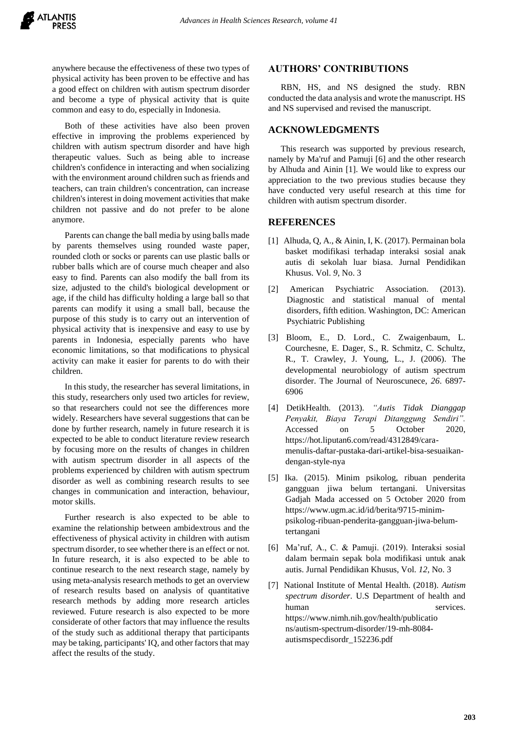anywhere because the effectiveness of these two types of physical activity has been proven to be effective and has a good effect on children with autism spectrum disorder and become a type of physical activity that is quite common and easy to do, especially in Indonesia.

Both of these activities have also been proven effective in improving the problems experienced by children with autism spectrum disorder and have high therapeutic values. Such as being able to increase children's confidence in interacting and when socializing with the environment around children such as friends and teachers, can train children's concentration, can increase children's interest in doing movement activities that make children not passive and do not prefer to be alone anymore.

Parents can change the ball media by using balls made by parents themselves using rounded waste paper, rounded cloth or socks or parents can use plastic balls or rubber balls which are of course much cheaper and also easy to find. Parents can also modify the ball from its size, adjusted to the child's biological development or age, if the child has difficulty holding a large ball so that parents can modify it using a small ball, because the purpose of this study is to carry out an intervention of physical activity that is inexpensive and easy to use by parents in Indonesia, especially parents who have economic limitations, so that modifications to physical activity can make it easier for parents to do with their children.

In this study, the researcher has several limitations, in this study, researchers only used two articles for review, so that researchers could not see the differences more widely. Researchers have several suggestions that can be done by further research, namely in future research it is expected to be able to conduct literature review research by focusing more on the results of changes in children with autism spectrum disorder in all aspects of the problems experienced by children with autism spectrum disorder as well as combining research results to see changes in communication and interaction, behaviour, motor skills.

Further research is also expected to be able to examine the relationship between ambidextrous and the effectiveness of physical activity in children with autism spectrum disorder, to see whether there is an effect or not. In future research, it is also expected to be able to continue research to the next research stage, namely by using meta-analysis research methods to get an overview of research results based on analysis of quantitative research methods by adding more research articles reviewed. Future research is also expected to be more considerate of other factors that may influence the results of the study such as additional therapy that participants may be taking, participants' IQ, and other factors that may affect the results of the study.

#### **AUTHORS' CONTRIBUTIONS**

RBN, HS, and NS designed the study. RBN conducted the data analysis and wrote the manuscript. HS and NS supervised and revised the manuscript.

### **ACKNOWLEDGMENTS**

This research was supported by previous research, namely by Ma'ruf and Pamuji [6] and the other research by Alhuda and Ainin [1]. We would like to express our appreciation to the two previous studies because they have conducted very useful research at this time for children with autism spectrum disorder.

#### **REFERENCES**

- [1] Alhuda, Q, A., & Ainin, I, K. (2017). Permainan bola basket modifikasi terhadap interaksi sosial anak autis di sekolah luar biasa. Jurnal Pendidikan Khusus. Vol. *9*, No. 3
- [2] American Psychiatric Association. (2013). Diagnostic and statistical manual of mental disorders, fifth edition. Washington, DC: American Psychiatric Publishing
- [3] Bloom, E., D. Lord., C. Zwaigenbaum, L. Courchesne, E. Dager, S., R. Schmitz, C. Schultz, R., T. Crawley, J. Young, L., J. (2006). The developmental neurobiology of autism spectrum disorder. The Journal of Neuroscunece, *26*. 6897- 6906
- [4] DetikHealth. (2013). *"Autis Tidak Dianggap Penyakit, Biaya Terapi Ditanggung Sendiri".* Accessed on 5 October 2020, https://hot.liputan6.com/read/4312849/caramenulis-daftar-pustaka-dari-artikel-bisa-sesuaikandengan-style-nya
- [5] Ika. (2015). Minim psikolog, ribuan penderita gangguan jiwa belum tertangani. Universitas Gadjah Mada accessed on 5 October 2020 from https://www.ugm.ac.id/id/berita/9715-minimpsikolog-ribuan-penderita-gangguan-jiwa-belumtertangani
- [6] Ma'ruf, A., C. & Pamuji. (2019). Interaksi sosial dalam bermain sepak bola modifikasi untuk anak autis. Jurnal Pendidikan Khusus, Vol. *12*, No. 3
- [7] National Institute of Mental Health. (2018). *Autism spectrum disorder*. U.S Department of health and human services. https://www.nimh.nih.gov/health/publicatio ns/autism-spectrum-disorder/19-mh-8084 autismspecdisordr\_152236.pdf